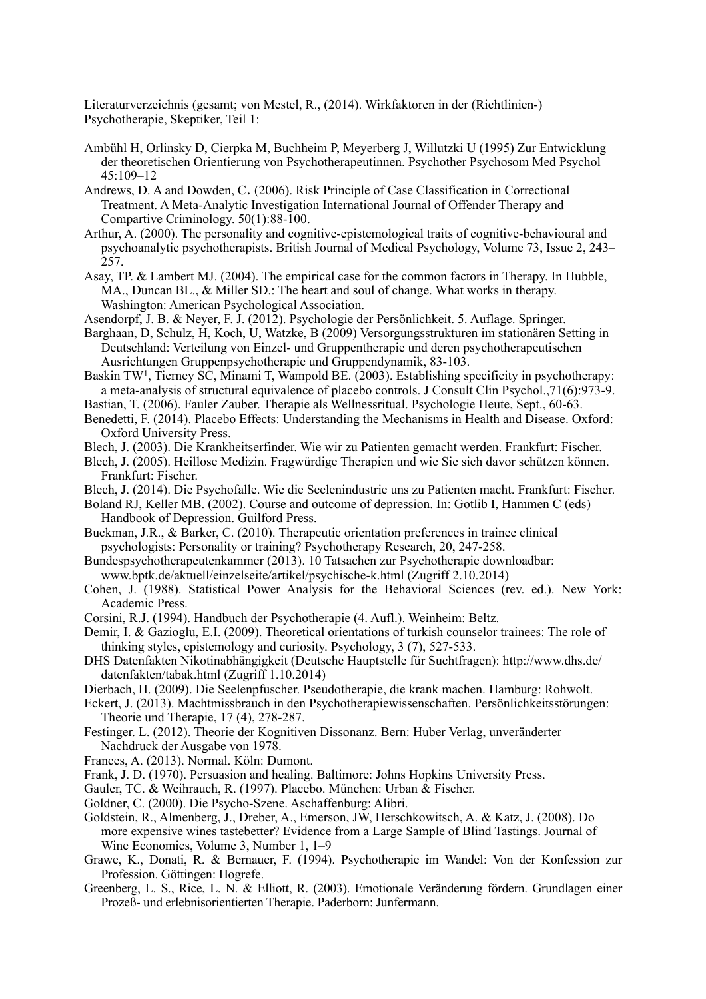Literaturverzeichnis (gesamt; von Mestel, R., (2014). Wirkfaktoren in der (Richtlinien-) Psychotherapie, Skeptiker, Teil 1:

- Ambühl H, Orlinsky D, Cierpka M, Buchheim P, Meyerberg J, Willutzki U (1995) Zur Entwicklung der theoretischen Orientierung von Psychotherapeutinnen. Psychother Psychosom Med Psychol 45:109–12
- [Andrews, D. A](http://www.restorativejustice.org/articlesdb/authors/2027) and [Dowden, C](http://www.restorativejustice.org/articlesdb/authors/5412). (2006). Risk Principle of Case Classification in Correctional Treatment. A Meta-Analytic Investigation International Journal of Offender Therapy and Compartive Criminology. 50(1):88-100.
- Arthur, A. (2000). The personality and cognitive-epistemological traits of cognitive-behavioural and psychoanalytic psychotherapists. British Journal of Medical Psychology, Volume 73, Issue 2, 243– 257.
- Asay, TP. & Lambert MJ. (2004). The empirical case for the common factors in Therapy. In Hubble, MA., Duncan BL., & Miller SD.: The heart and soul of change. What works in therapy. Washington: American Psychological Association.
- Asendorpf, J. B. & Neyer, F. J. (2012). Psychologie der Persönlichkeit. 5. Auflage. Springer.
- Barghaan, D, Schulz, H, Koch, U, Watzke, B (2009) Versorgungsstrukturen im stationären Setting in Deutschland: Verteilung von Einzel- und Gruppentherapie und deren psychotherapeutischen Ausrichtungen Gruppenpsychotherapie und Gruppendynamik, 83-103.
- [Baskin TW](http://www.ncbi.nlm.nih.gov/pubmed?term=baskin%2520tw%255bauthor%255d&cauthor=true&cauthor_uid=14622072)<sup>1</sup>. [Tierney SC](http://www.ncbi.nlm.nih.gov/pubmed?term=tierney%2520sc%255bauthor%255d&cauthor=true&cauthor_uid=14622072), [Minami T,](http://www.ncbi.nlm.nih.gov/pubmed?term=minami%2520t%255bauthor%255d&cauthor=true&cauthor_uid=14622072) [Wampold BE](http://www.ncbi.nlm.nih.gov/pubmed?term=wampold%2520be%255bauthor%255d&cauthor=true&cauthor_uid=14622072). (2003). Establishing specificity in psychotherapy: a meta-analysis of structural equivalence of placebo controls. [J Consult Clin Psychol.](http://www.ncbi.nlm.nih.gov/pubmed/14622072),71(6):973-9.
- Bastian, T. (2006). Fauler Zauber. Therapie als Wellnessritual. Psychologie Heute, Sept., 60-63.
- Benedetti, F. (2014). Placebo Effects: Understanding the Mechanisms in Health and Disease. Oxford: Oxford University Press.
- Blech, J. (2003). Die Krankheitserfinder. Wie wir zu Patienten gemacht werden. Frankfurt: Fischer.
- Blech, J. (2005). Heillose Medizin. Fragwürdige Therapien und wie Sie sich davor schützen können. Frankfurt: Fischer.
- Blech, J. (2014). Die Psychofalle. Wie die Seelenindustrie uns zu Patienten macht. Frankfurt: Fischer.
- Boland RJ, Keller MB. (2002). Course and outcome of depression. In: Gotlib I, Hammen C (eds) Handbook of Depression. Guilford Press.
- Buckman, J.R., & Barker, C. (2010). Therapeutic orientation preferences in trainee clinical psychologists: Personality or training? Psychotherapy Research, 20, 247-258.
- Bundespsychotherapeutenkammer (2013). 10 Tatsachen zur Psychotherapie downloadbar: [www.bptk.de/aktuell/einzelseite/artikel/psychische-k.html](http://www.bptk.de/aktuell/einzelseite/artikel/psychische-k.html) (Zugriff 2.10.2014)
- Cohen, J. (1988). Statistical Power Analysis for the Behavioral Sciences (rev. ed.). New York: Academic Press.
- Corsini, R.J. (1994). Handbuch der Psychotherapie (4. Aufl.). Weinheim: Beltz.
- Demir, I. & Gazioglu, E.I. (2009). Theoretical orientations of turkish counselor trainees: The role of thinking styles, epistemology and curiosity. Psychology, 3 (7), 527-533.
- D[HS Datenfakten Nikotinabhängigkeit \(Deutsche Hauptstelle für Suchtfragen\): http://www.dhs.de/](http://www.dhs.de/datenfakten/tabak.html) datenfakten/tabak.html (Zugriff 1.10.2014)
- Dierbach, H. (2009). Die Seelenpfuscher. Pseudotherapie, die krank machen. Hamburg: Rohwolt.
- Eckert, J. (2013). Machtmissbrauch in den Psychotherapiewissenschaften. Persönlichkeitsstörungen: Theorie und Therapie, 17 (4), 278-287.
- [Festinger](http://de.wikipedia.org/wiki/leon_festinger). L. (2012). Theorie der Kognitiven Dissonanz. Bern: Huber Verlag, unveränderter Nachdruck der Ausgabe von 1978.
- Frances, A. (2013). Normal. Köln: Dumont.
- Frank, J. D. (1970). Persuasion and healing. Baltimore: Johns Hopkins University Press.
- Gauler, TC. & Weihrauch, R. (1997). Placebo. München: Urban & Fischer.
- Goldner, C. (2000). Die Psycho-Szene. Aschaffenburg: Alibri.
- Goldstein, R., Almenberg, J., Dreber, A., Emerson, JW, Herschkowitsch, A. & Katz, J. (2008). Do more expensive wines tastebetter? Evidence from a Large Sample of Blind Tastings. Journal of Wine Economics, Volume 3, Number 1, 1–9
- Grawe, K., Donati, R. & Bernauer, F. (1994). Psychotherapie im Wandel: Von der Konfession zur Profession. Göttingen: Hogrefe.
- Greenberg, L. S., Rice, L. N. & Elliott, R. (2003). Emotionale Veränderung fördern. Grundlagen einer Prozeß- und erlebnisorientierten Therapie. Paderborn: Junfermann.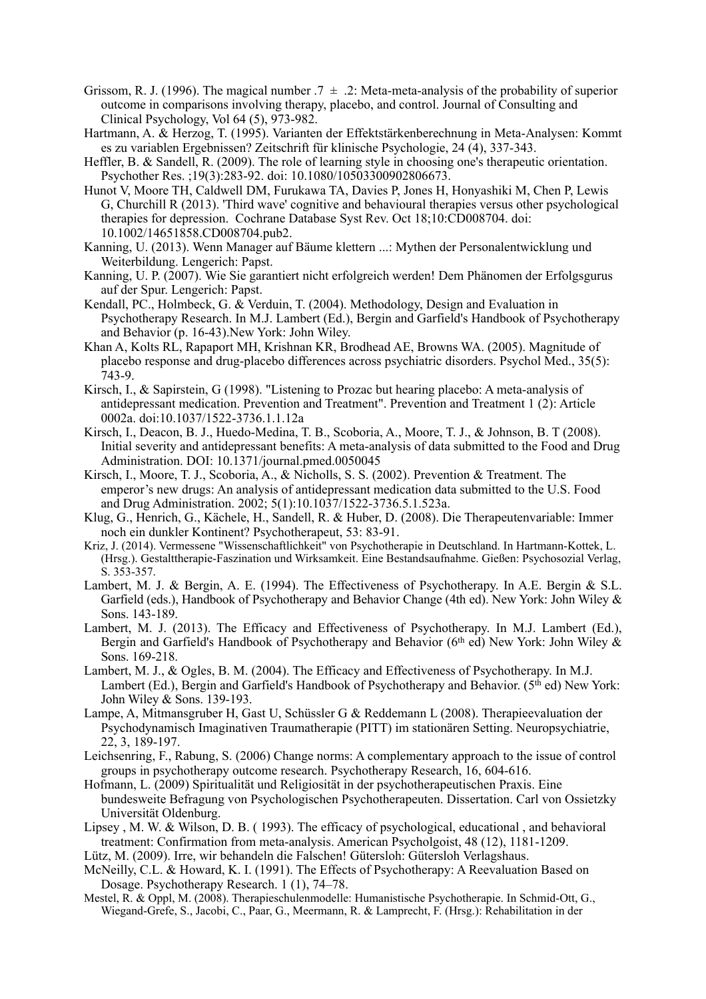- Grissom, R. J. (1996). The magical number  $.7 \pm .2$ : Meta-meta-analysis of the probability of superior outcome in comparisons involving therapy, placebo, and control. Journal of Consulting and Clinical Psychology, Vol 64 (5), 973-982.
- Hartmann, A. & Herzog, T. (1995). Varianten der Effektstärkenberechnung in Meta-Analysen: Kommt es zu variablen Ergebnissen? Zeitschrift für klinische Psychologie, 24 (4), 337-343.
- Heffler, B. & Sandell, R. (2009). The role of learning style in choosing one's therapeutic orientation. [Psychother Res.](http://www.ncbi.nlm.nih.gov/pubmed/19437343) ;19(3):283-92. doi: 10.1080/10503300902806673.
- Hunot V, Moore TH, Caldwell DM, Furukawa TA, Davies P, Jones H, Honyashiki M, Chen P, Lewis [G, Churchill R \(2013\). 'Third wave' cognitive and behavioural therapies versus other psychological](http://www.ncbi.nlm.nih.gov/pubmed/24142844)  therapies for depression. [Cochrane Database Syst Rev.](http://www.ncbi.nlm.nih.gov/pubmed/24142844) Oct 18;10:CD008704. doi: 10.1002/14651858.CD008704.pub2.
- Kanning, U. (2013). Wenn Manager auf Bäume klettern ...: Mythen der Personalentwicklung und Weiterbildung. Lengerich: Papst.
- Kanning, U. P. (2007). Wie Sie garantiert nicht erfolgreich werden! Dem Phänomen der Erfolgsgurus auf der Spur. Lengerich: Papst.
- Kendall, PC., Holmbeck, G. & Verduin, T. (2004). Methodology, Design and Evaluation in Psychotherapy Research. In M.J. Lambert (Ed.), Bergin and Garfield's Handbook of Psychotherapy and Behavior (p. 16-43).New York: John Wiley.
- [Khan A,](http://www.ncbi.nlm.nih.gov/pubmed?term=khan%2520a%255bauthor%255d&cauthor=true&cauthor_uid=15918351) [Kolts RL,](http://www.ncbi.nlm.nih.gov/pubmed?term=kolts%2520rl%255bauthor%255d&cauthor=true&cauthor_uid=15918351) [Rapaport MH](http://www.ncbi.nlm.nih.gov/pubmed?term=rapaport%2520mh%255bauthor%255d&cauthor=true&cauthor_uid=15918351), [Krishnan KR](http://www.ncbi.nlm.nih.gov/pubmed?term=krishnan%2520kr%255bauthor%255d&cauthor=true&cauthor_uid=15918351), [Brodhead AE](http://www.ncbi.nlm.nih.gov/pubmed?term=brodhead%2520ae%255bauthor%255d&cauthor=true&cauthor_uid=15918351), [Browns WA.](http://www.ncbi.nlm.nih.gov/pubmed?term=browns%2520wa%255bauthor%255d&cauthor=true&cauthor_uid=15918351) (2005). Magnitude of placebo response and drug-placebo differences across psychiatric disorders. [Psychol Med.,](http://www.ncbi.nlm.nih.gov/pubmed/15918351) 35(5): 743-9.
- Ki[rsch, I., & Sapirstein, G \(1998\). "Listening to Prozac but hearing placebo: A meta-analysis of](http://web.archive.org/web/19980715085305/http:/journals.apa.org/prevention/volume1/pre0010002a.html)  antidepressant medication. Prevention and Treatment". Prevention and Treatment 1 (2): Article 0002a. [doi:](http://en.wikipedia.org/wiki/digital_object_identifier)[10.1037/1522-3736.1.1.12a](http://dx.doi.org/10.1037%252f1522-3736.1.1.12a)
- Kirsch, I., Deacon, B. J., Huedo-Medina, T. B., Scoboria, A., Moore, T. J., & Johnson, B. T (2008). [Initial severity and antidepressant benefits: A meta-analysis of data submitted to the Food and Drug](http://www.ncbi.nlm.nih.gov/pmc/articles/pmc2253608/)  Administration. DOI: 10.1371/journal.pmed.0050045
- Kirsch, I., Moore, T. J., Scoboria, A., & Nicholls, S. S. (2002). Prevention & Treatment. The emperor's new drugs: An analysis of antidepressant medication data submitted to the U.S. Food and Drug Administration. 2002; 5(1):10.1037/1522-3736.5.1.523a.
- Klug, G., Henrich, G., Kächele, H., Sandell, R. & Huber, D. (2008). Die Therapeutenvariable: Immer noch ein dunkler Kontinent? Psychotherapeut, 53: 83-91.
- Kriz, J. (2014). Vermessene "Wissenschaftlichkeit" von Psychotherapie in Deutschland. In Hartmann-Kottek, L. (Hrsg.). Gestalttherapie-Faszination und Wirksamkeit. Eine Bestandsaufnahme. Gießen: Psychosozial Verlag, S. 353-357.
- Lambert, M. J. & Bergin, A. E. (1994). The Effectiveness of Psychotherapy. In A.E. Bergin & S.L. Garfield (eds.), Handbook of Psychotherapy and Behavior Change (4th ed). New York: John Wiley & Sons. 143-189.
- Lambert, M. J. (2013). The Efficacy and Effectiveness of Psychotherapy. In M.J. Lambert (Ed.), Bergin and Garfield's Handbook of Psychotherapy and Behavior ( $6<sup>th</sup>$  ed) New York: John Wiley  $\&$ Sons. 169-218.
- Lambert, M. J., & Ogles, B. M. (2004). The Efficacy and Effectiveness of Psychotherapy. In M.J. Lambert (Ed.), Bergin and Garfield's Handbook of Psychotherapy and Behavior. (5<sup>th</sup> ed) New York: John Wiley & Sons. 139-193.
- Lampe, A, Mitmansgruber H, Gast U, Schüssler G & Reddemann L (2008). Therapieevaluation der Psychodynamisch Imaginativen Traumatherapie (PITT) im stationären Setting. Neuropsychiatrie, 22, 3, 189-197.
- Leichsenring, F., Rabung, S. (2006) Change norms: A complementary approach to the issue of control groups in psychotherapy outcome research. Psychotherapy Research, 16, 604-616.
- Ho[fmann, L. \(2009\) Spiritualität und Religiosität in der psychotherapeutischen Praxis. Eine](http://oops.uni-oldenburg.de/909/)  bundesweite Befragung von Psychologischen Psychotherapeuten. Dissertation. Carl von Ossietzky Universität Oldenburg.
- Lipsey , M. W. & Wilson, D. B. ( 1993). The efficacy of psychological, educational , and behavioral treatment: Confirmation from meta-analysis. American Psycholgoist, 48 (12), 1181-1209.
- Lütz, M. (2009). Irre, wir behandeln die Falschen! Gütersloh: Gütersloh Verlagshaus.
- McNeilly, C.L. & Howard, K. I. (1991). The Effects of Psychotherapy: A Reevaluation Based on Dosage. Psychotherapy Research. 1 (1), 74–78.
- Mestel, R. & Oppl, M. (2008). Therapieschulenmodelle: Humanistische Psychotherapie. In Schmid-Ott, G., Wiegand-Grefe, S., Jacobi, C., Paar, G., Meermann, R. & Lamprecht, F. (Hrsg.): Rehabilitation in der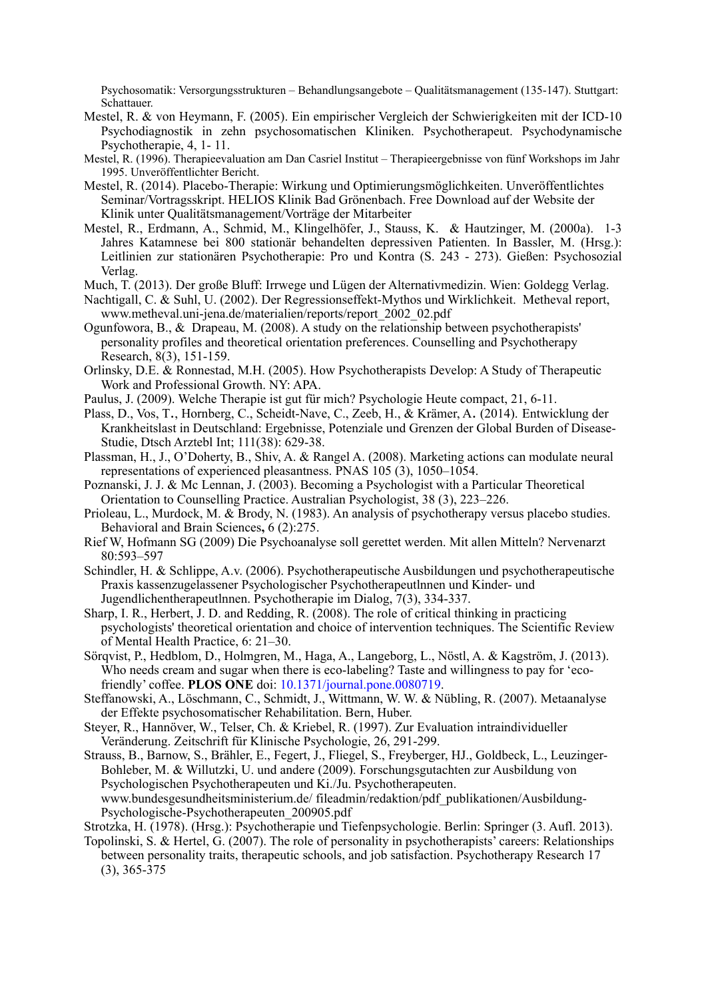Psychosomatik: Versorgungsstrukturen – Behandlungsangebote – Qualitätsmanagement (135-147). Stuttgart: **Schattauer.** 

- Mestel, R. & von Heymann, F. (2005). Ein empirischer Vergleich der Schwierigkeiten mit der ICD-10 Psychodiagnostik in zehn psychosomatischen Kliniken. Psychotherapeut. Psychodynamische Psychotherapie, 4, 1- 11.
- Mestel, R. (1996). Therapieevaluation am Dan Casriel Institut Therapieergebnisse von fünf Workshops im Jahr 1995. Unveröffentlichter Bericht.
- Mestel, R. (2014). Placebo-Therapie: Wirkung und Optimierungsmöglichkeiten. Unveröffentlichtes Seminar/Vortragsskript. HELIOS Klinik Bad Grönenbach. Free Download auf der Website der Klinik unter Qualitätsmanagement/Vorträge der Mitarbeiter
- Mestel, R., Erdmann, A., Schmid, M., Klingelhöfer, J., Stauss, K. & Hautzinger, M. (2000a). 1-3 Jahres Katamnese bei 800 stationär behandelten depressiven Patienten. In Bassler, M. (Hrsg.): Leitlinien zur stationären Psychotherapie: Pro und Kontra (S. 243 - 273). Gießen: Psychosozial Verlag.
- Much, T. (2013). Der große Bluff: Irrwege und Lügen der Alternativmedizin. Wien: Goldegg Verlag.
- Nachtigall, C. & Suhl, U. (2002). Der Regressionseffekt-Mythos und Wirklichkeit. Metheval report, www.metheval.uni-jena.de/materialien/reports/report\_2002\_02.pdf
- Ogunfowora, B., & Drapeau, M. (2008). A study on the relationship between psychotherapists' personality profiles and theoretical orientation preferences. Counselling and Psychotherapy Research, 8(3), 151-159.
- Orlinsky, D.E. & Ronnestad, M.H. (2005). How Psychotherapists Develop: A Study of Therapeutic Work and Professional Growth. NY: APA.
- Paulus, J. (2009). Welche Therapie ist gut für mich? Psychologie Heute compact, 21, 6-11.
- [Plass, D.,](http://www.aerzteblatt.de/archiv/treffer?archivautor=plass%252c+dietrich) [Vos, T](http://www.aerzteblatt.de/archiv/treffer?archivautor=vos%252c+theo)., [Hornberg, C.](http://www.aerzteblatt.de/archiv/treffer?archivautor=hornberg%252c+claudia), [Scheidt-Nave, C.](http://www.aerzteblatt.de/archiv/treffer?archivautor=scheidt%252dnave%252c+christa), [Zeeb, H](http://www.aerzteblatt.de/archiv/treffer?archivautor=zeeb%252c+hajo)., & [Krämer, A](http://www.aerzteblatt.de/archiv/treffer?archivautor=kr%25e4mer%252c+alexander). (2014). Entwicklung der [Krankheitslast in Deutschland: Ergebnisse, Potenziale und Grenzen der Global Burden of Disease-](http://www.aerzteblatt.de/archiv/161704/entwicklung-der-krankheitslast-in-deutschland-ergebnisse-potenziale-und-grenzen-der-global-burden-of-disease-studie?src=search)Studie, Dtsch Arztebl Int; 111(38): 629-38.
- Plassman, H., J., O'Doherty, B., Shiv, A. & Rangel A. (2008). Marketing actions can modulate neural representations of experienced pleasantness. PNAS 105 (3), 1050–1054.
- Poznanski, J. J. & Mc Lennan, J. (2003). Becoming a Psychologist with a Particular Theoretical Orientation to Counselling Practice. Australian Psychologist, [38 \(3\)](http://onlinelibrary.wiley.com/doi/10.1111/ap.2003.38.issue-3/issuetoc), 223–226.
- Prioleau, L., Murdock, M. & Brody, N. (1983). [An analysis of psychotherapy versus placebo studies.](http://philpapers.org/go.pl?id=priaao&proxyid=&u=http%253a%252f%252fwww.journals.cambridge.org%252fabstract_s0140525x00015867) [Behavioral and Brain Sciences](http://philpapers.org/asearch.pl?pubn=behavioral%2520and%2520brain%2520sciences)**,** 6 (2):275.
- Rief W, Hofmann SG (2009) Die Psychoanalyse soll gerettet werden. Mit allen Mitteln? Nervenarzt 80:593–597
- Schindler, H. & Schlippe, A.v. (2006). Psychotherapeutische Ausbildungen und psychotherapeutische Praxis kassenzugelassener Psychologischer Psychotherapeutlnnen und Kinder- und Jugendlichentherapeutlnnen. Psychotherapie im Dialog, 7(3), 334-337.
- Sharp, I. R., Herbert, J. D. and Redding, R. (2008). The role of critical thinking in practicing psychologists' theoretical orientation and choice of intervention techniques. The Scientific Review of Mental Health Practice, 6: 21–30.
- Sörqvist, P., Hedblom, D., Holmgren, M., Haga, A., Langeborg, L., Nöstl, A. & Kagström, J. (2013). Who needs cream and sugar when there is eco-labeling? Taste and willingness to pay for 'ecofriendly' coffee. **PLOS ONE** doi: [10.1371/journal.pone.0080719.](http://www.plosone.org/article/info%253adoi%252f10.1371%252fjournal.pone.0080719)
- Steffanowski, A., Löschmann, C., Schmidt, J., Wittmann, W. W. & Nübling, R. (2007). Metaanalyse der Effekte psychosomatischer Rehabilitation. Bern, Huber.
- Steyer, R., Hannöver, W., Telser, Ch. & Kriebel, R. (1997). Zur Evaluation intraindividueller Veränderung. Zeitschrift für Klinische Psychologie, 26, 291-299.
- Strauss, B., Barnow, S., Brähler, E., Fegert, J., Fliegel, S., Freyberger, HJ., Goldbeck, L., Leuzinger-Bohleber, M. & Willutzki, U. und andere (2009). Forschungsgutachten zur Ausbildung von Psychologischen Psychotherapeuten und Ki./Ju. Psychotherapeuten. www.bundesgesundheitsministerium.de/ fileadmin/redaktion/pdf\_publikationen/Ausbildung-Psychologische-Psychotherapeuten\_200905.pdf
- Strotzka, H. (1978). (Hrsg.): Psychotherapie und Tiefenpsychologie. Berlin: Springer (3. Aufl. 2013).
- To[polinski, S. & Hertel, G. \(2007\). The role of personality in psychotherapists' careers: Relationships](http://scholar.google.com/citations?view_op=view_citation&hl=de&user=bkatpeoaaaaj&citation_for_view=bkatpeoaaaaj:uehwp8x0ceic)  between personality traits, therapeutic schools, and job satisfaction. Psychotherapy Research 17 (3), 365-375